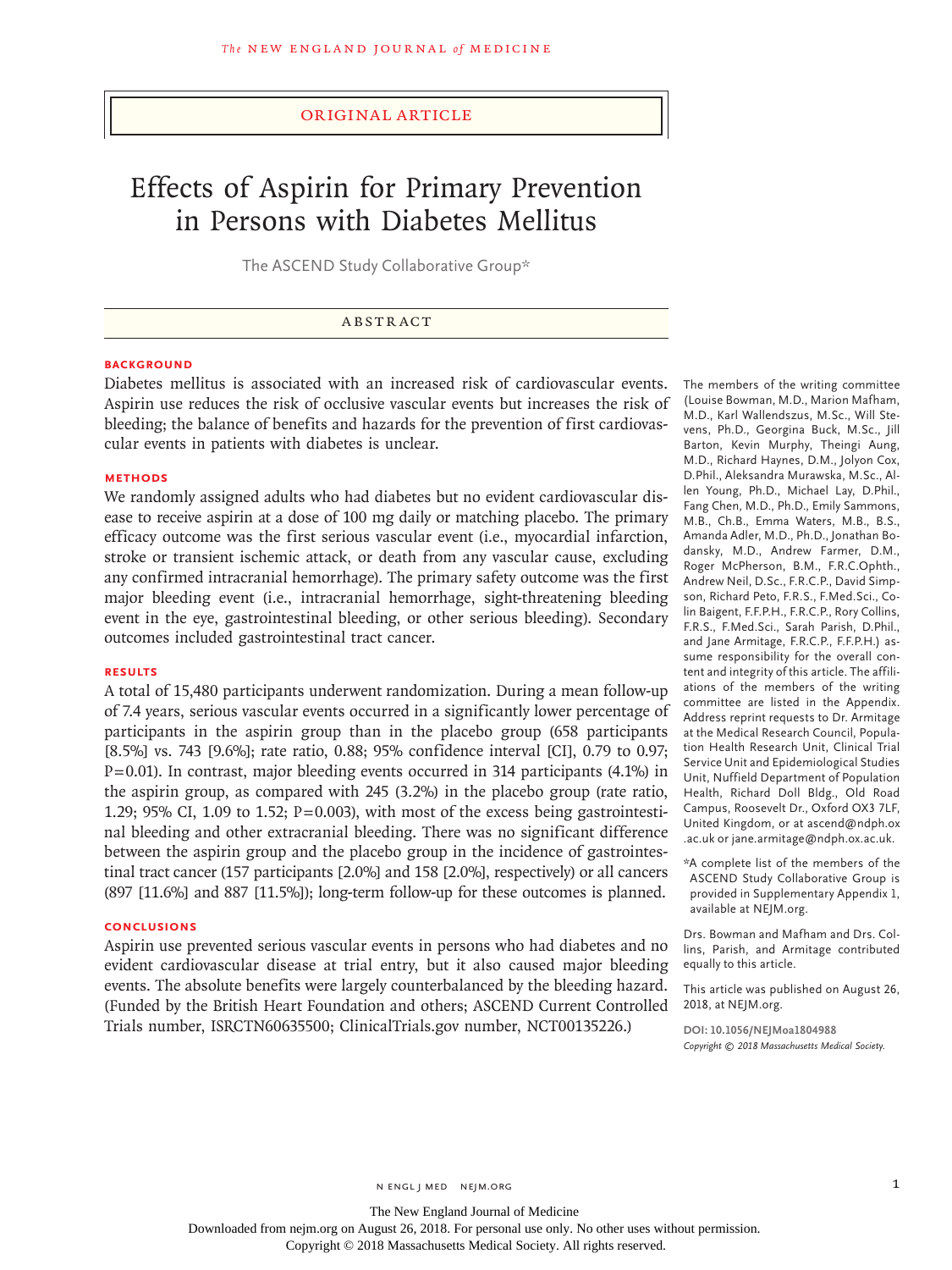#### Original Article

# Effects of Aspirin for Primary Prevention in Persons with Diabetes Mellitus

The ASCEND Study Collaborative Group\*

#### ABSTRACT

#### **BACKGROUND**

Diabetes mellitus is associated with an increased risk of cardiovascular events. Aspirin use reduces the risk of occlusive vascular events but increases the risk of bleeding; the balance of benefits and hazards for the prevention of first cardiovascular events in patients with diabetes is unclear.

#### **METHODS**

We randomly assigned adults who had diabetes but no evident cardiovascular disease to receive aspirin at a dose of 100 mg daily or matching placebo. The primary efficacy outcome was the first serious vascular event (i.e., myocardial infarction, stroke or transient ischemic attack, or death from any vascular cause, excluding any confirmed intracranial hemorrhage). The primary safety outcome was the first major bleeding event (i.e., intracranial hemorrhage, sight-threatening bleeding event in the eye, gastrointestinal bleeding, or other serious bleeding). Secondary outcomes included gastrointestinal tract cancer.

#### **RESULTS**

A total of 15,480 participants underwent randomization. During a mean follow-up of 7.4 years, serious vascular events occurred in a significantly lower percentage of participants in the aspirin group than in the placebo group (658 participants [8.5%] vs. 743 [9.6%]; rate ratio, 0.88; 95% confidence interval [CI], 0.79 to 0.97; P=0.01). In contrast, major bleeding events occurred in 314 participants (4.1%) in the aspirin group, as compared with 245 (3.2%) in the placebo group (rate ratio, 1.29; 95% CI, 1.09 to 1.52;  $P=0.003$ ), with most of the excess being gastrointestinal bleeding and other extracranial bleeding. There was no significant difference between the aspirin group and the placebo group in the incidence of gastrointestinal tract cancer (157 participants [2.0%] and 158 [2.0%], respectively) or all cancers (897 [11.6%] and 887 [11.5%]); long-term follow-up for these outcomes is planned.

#### **CONCLUSIONS**

Aspirin use prevented serious vascular events in persons who had diabetes and no evident cardiovascular disease at trial entry, but it also caused major bleeding events. The absolute benefits were largely counterbalanced by the bleeding hazard. (Funded by the British Heart Foundation and others; ASCEND Current Controlled Trials number, ISRCTN60635500; ClinicalTrials.gov number, NCT00135226.)

The members of the writing committee (Louise Bowman, M.D., Marion Mafham, M.D., Karl Wallendszus, M.Sc., Will Stevens, Ph.D., Georgina Buck, M.Sc., Jill Barton, Kevin Murphy, Theingi Aung, M.D., Richard Haynes, D.M., Jolyon Cox, D.Phil., Aleksandra Murawska, M.Sc., Allen Young, Ph.D., Michael Lay, D.Phil., Fang Chen, M.D., Ph.D., Emily Sammons, M.B., Ch.B., Emma Waters, M.B., B.S., Amanda Adler, M.D., Ph.D., Jonathan Bodansky, M.D., Andrew Farmer, D.M., Roger McPherson, B.M., F.R.C.Ophth., Andrew Neil, D.Sc., F.R.C.P., David Simpson, Richard Peto, F.R.S., F.Med.Sci., Colin Baigent, F.F.P.H., F.R.C.P., Rory Collins, F.R.S., F.Med.Sci., Sarah Parish, D.Phil., and Jane Armitage, F.R.C.P., F.F.P.H.) assume responsibility for the overall content and integrity of this article. The affiliations of the members of the writing committee are listed in the Appendix. Address reprint requests to Dr. Armitage at the Medical Research Council, Population Health Research Unit, Clinical Trial Service Unit and Epidemiological Studies Unit, Nuffield Department of Population Health, Richard Doll Bldg., Old Road Campus, Roosevelt Dr., Oxford OX3 7LF, United Kingdom, or at ascend@ndph.ox .ac.uk or jane.armitage@ndph.ox.ac.uk.

\*A complete list of the members of the ASCEND Study Collaborative Group is provided in Supplementary Appendix 1, available at NEJM.org.

Drs. Bowman and Mafham and Drs. Collins, Parish, and Armitage contributed equally to this article.

This article was published on August 26, 2018, at NEJM.org.

**DOI: 10.1056/NEJMoa1804988** *Copyright © 2018 Massachusetts Medical Society.*

n engl j med nejm.org 1

The New England Journal of Medicine

Downloaded from nejm.org on August 26, 2018. For personal use only. No other uses without permission.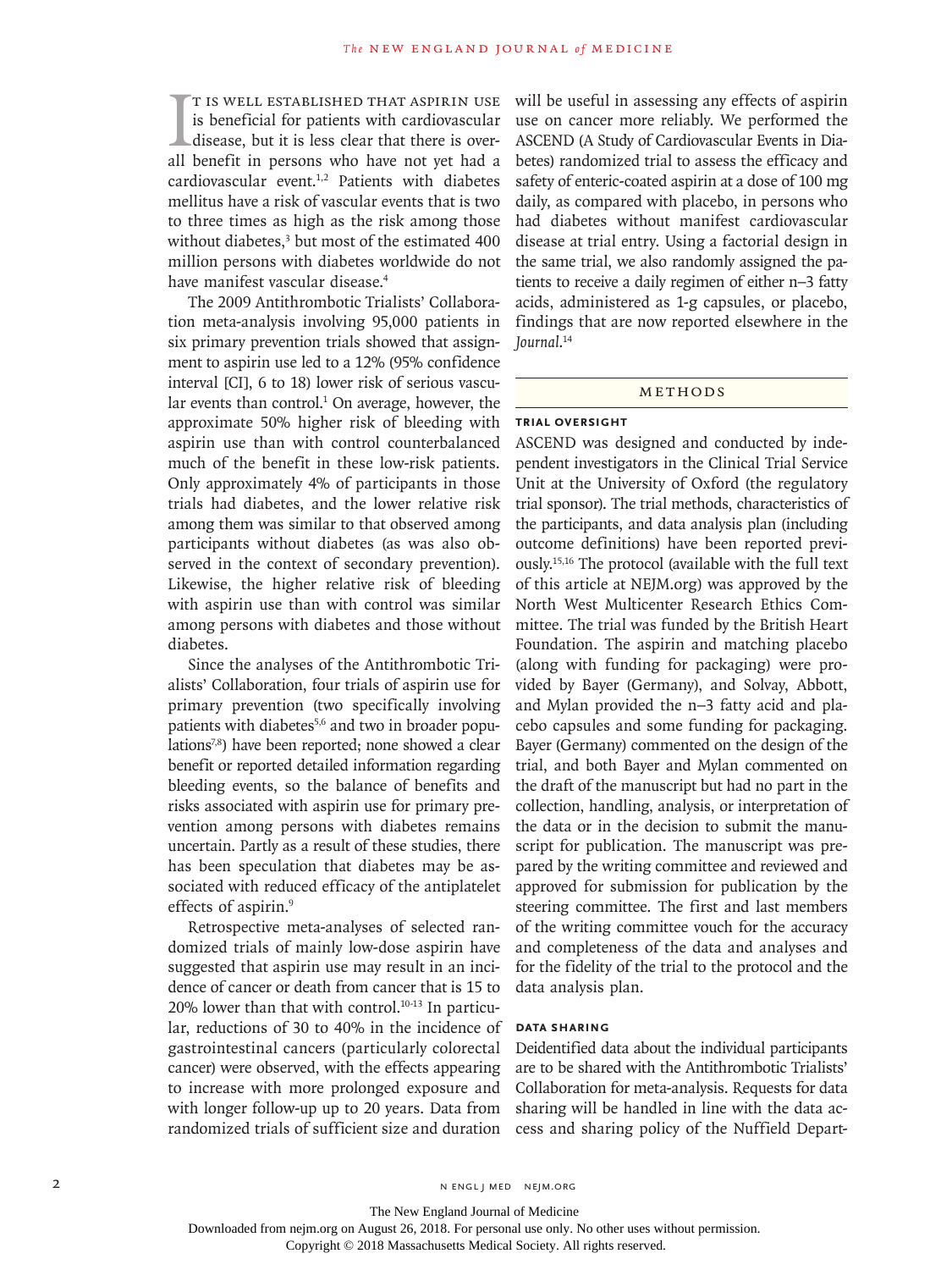$\prod_{\text{all}}$ t is well established that aspirin use is beneficial for patients with cardiovascular disease, but it is less clear that there is overall benefit in persons who have not yet had a cardiovascular event.<sup>1,2</sup> Patients with diabetes mellitus have a risk of vascular events that is two to three times as high as the risk among those without diabetes,<sup>3</sup> but most of the estimated 400 million persons with diabetes worldwide do not have manifest vascular disease.4

The 2009 Antithrombotic Trialists' Collaboration meta-analysis involving 95,000 patients in six primary prevention trials showed that assignment to aspirin use led to a 12% (95% confidence interval [CI], 6 to 18) lower risk of serious vascular events than control.<sup>1</sup> On average, however, the approximate 50% higher risk of bleeding with aspirin use than with control counterbalanced much of the benefit in these low-risk patients. Only approximately 4% of participants in those trials had diabetes, and the lower relative risk among them was similar to that observed among participants without diabetes (as was also observed in the context of secondary prevention). Likewise, the higher relative risk of bleeding with aspirin use than with control was similar among persons with diabetes and those without diabetes.

Since the analyses of the Antithrombotic Trialists' Collaboration, four trials of aspirin use for primary prevention (two specifically involving patients with diabetes<sup>5,6</sup> and two in broader populations<sup>7,8</sup>) have been reported; none showed a clear benefit or reported detailed information regarding bleeding events, so the balance of benefits and risks associated with aspirin use for primary prevention among persons with diabetes remains uncertain. Partly as a result of these studies, there has been speculation that diabetes may be associated with reduced efficacy of the antiplatelet effects of aspirin.<sup>9</sup>

Retrospective meta-analyses of selected randomized trials of mainly low-dose aspirin have suggested that aspirin use may result in an incidence of cancer or death from cancer that is 15 to 20% lower than that with control.10-13 In particular, reductions of 30 to 40% in the incidence of gastrointestinal cancers (particularly colorectal cancer) were observed, with the effects appearing to increase with more prolonged exposure and with longer follow-up up to 20 years. Data from randomized trials of sufficient size and duration

will be useful in assessing any effects of aspirin use on cancer more reliably. We performed the ASCEND (A Study of Cardiovascular Events in Diabetes) randomized trial to assess the efficacy and safety of enteric-coated aspirin at a dose of 100 mg daily, as compared with placebo, in persons who had diabetes without manifest cardiovascular disease at trial entry. Using a factorial design in the same trial, we also randomly assigned the patients to receive a daily regimen of either n−3 fatty acids, administered as 1-g capsules, or placebo, findings that are now reported elsewhere in the *Journal*. 14

#### METHODS

#### **Trial Oversight**

ASCEND was designed and conducted by independent investigators in the Clinical Trial Service Unit at the University of Oxford (the regulatory trial sponsor). The trial methods, characteristics of the participants, and data analysis plan (including outcome definitions) have been reported previously.15,16 The protocol (available with the full text of this article at NEJM.org) was approved by the North West Multicenter Research Ethics Committee. The trial was funded by the British Heart Foundation. The aspirin and matching placebo (along with funding for packaging) were provided by Bayer (Germany), and Solvay, Abbott, and Mylan provided the n−3 fatty acid and placebo capsules and some funding for packaging. Bayer (Germany) commented on the design of the trial, and both Bayer and Mylan commented on the draft of the manuscript but had no part in the collection, handling, analysis, or interpretation of the data or in the decision to submit the manuscript for publication. The manuscript was prepared by the writing committee and reviewed and approved for submission for publication by the steering committee. The first and last members of the writing committee vouch for the accuracy and completeness of the data and analyses and for the fidelity of the trial to the protocol and the data analysis plan.

#### **Data Sharing**

Deidentified data about the individual participants are to be shared with the Antithrombotic Trialists' Collaboration for meta-analysis. Requests for data sharing will be handled in line with the data access and sharing policy of the Nuffield Depart-

2 N ENGL J MED NEJM.ORG

The New England Journal of Medicine

Downloaded from nejm.org on August 26, 2018. For personal use only. No other uses without permission.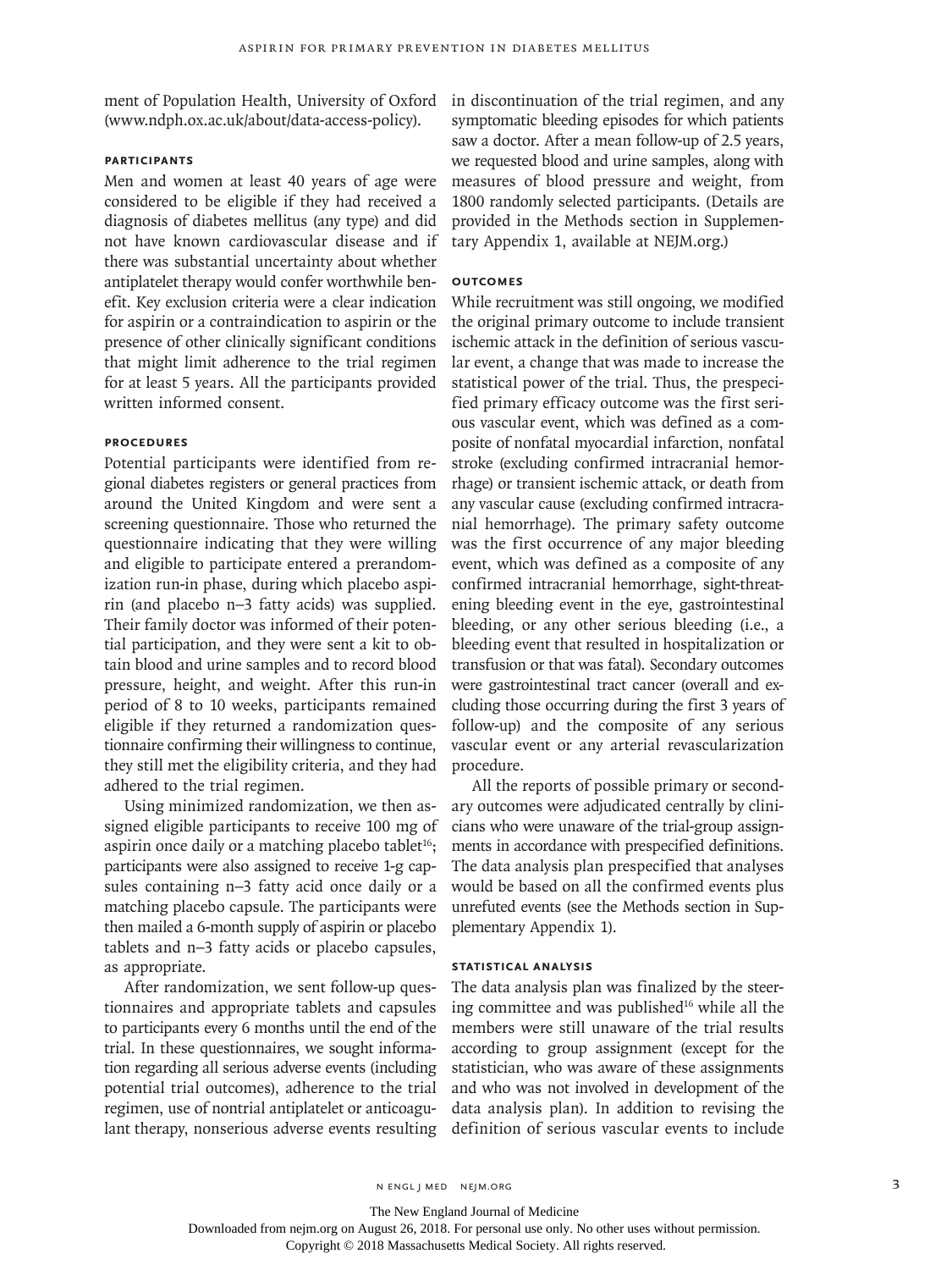ment of Population Health, University of Oxford (www.ndph.ox.ac.uk/about/data-access-policy).

#### **Participants**

Men and women at least 40 years of age were considered to be eligible if they had received a diagnosis of diabetes mellitus (any type) and did not have known cardiovascular disease and if there was substantial uncertainty about whether antiplatelet therapy would confer worthwhile benefit. Key exclusion criteria were a clear indication for aspirin or a contraindication to aspirin or the presence of other clinically significant conditions that might limit adherence to the trial regimen for at least 5 years. All the participants provided written informed consent.

# **Procedures**

Potential participants were identified from regional diabetes registers or general practices from around the United Kingdom and were sent a screening questionnaire. Those who returned the questionnaire indicating that they were willing and eligible to participate entered a prerandomization run-in phase, during which placebo aspirin (and placebo n−3 fatty acids) was supplied. Their family doctor was informed of their potential participation, and they were sent a kit to obtain blood and urine samples and to record blood pressure, height, and weight. After this run-in period of 8 to 10 weeks, participants remained eligible if they returned a randomization questionnaire confirming their willingness to continue, they still met the eligibility criteria, and they had adhered to the trial regimen.

Using minimized randomization, we then assigned eligible participants to receive 100 mg of aspirin once daily or a matching placebo tablet<sup>16</sup>; participants were also assigned to receive 1-g capsules containing n−3 fatty acid once daily or a matching placebo capsule. The participants were then mailed a 6-month supply of aspirin or placebo tablets and n−3 fatty acids or placebo capsules, as appropriate.

After randomization, we sent follow-up questionnaires and appropriate tablets and capsules to participants every 6 months until the end of the trial. In these questionnaires, we sought information regarding all serious adverse events (including potential trial outcomes), adherence to the trial regimen, use of nontrial antiplatelet or anticoagulant therapy, nonserious adverse events resulting in discontinuation of the trial regimen, and any symptomatic bleeding episodes for which patients saw a doctor. After a mean follow-up of 2.5 years, we requested blood and urine samples, along with measures of blood pressure and weight, from 1800 randomly selected participants. (Details are provided in the Methods section in Supplementary Appendix 1, available at NEJM.org.)

# **Outcomes**

While recruitment was still ongoing, we modified the original primary outcome to include transient ischemic attack in the definition of serious vascular event, a change that was made to increase the statistical power of the trial. Thus, the prespecified primary efficacy outcome was the first serious vascular event, which was defined as a composite of nonfatal myocardial infarction, nonfatal stroke (excluding confirmed intracranial hemorrhage) or transient ischemic attack, or death from any vascular cause (excluding confirmed intracranial hemorrhage). The primary safety outcome was the first occurrence of any major bleeding event, which was defined as a composite of any confirmed intracranial hemorrhage, sight-threatening bleeding event in the eye, gastrointestinal bleeding, or any other serious bleeding (i.e., a bleeding event that resulted in hospitalization or transfusion or that was fatal). Secondary outcomes were gastrointestinal tract cancer (overall and excluding those occurring during the first 3 years of follow-up) and the composite of any serious vascular event or any arterial revascularization procedure.

All the reports of possible primary or secondary outcomes were adjudicated centrally by clinicians who were unaware of the trial-group assignments in accordance with prespecified definitions. The data analysis plan prespecified that analyses would be based on all the confirmed events plus unrefuted events (see the Methods section in Supplementary Appendix 1).

# **Statistical Analysis**

The data analysis plan was finalized by the steering committee and was published<sup>16</sup> while all the members were still unaware of the trial results according to group assignment (except for the statistician, who was aware of these assignments and who was not involved in development of the data analysis plan). In addition to revising the definition of serious vascular events to include

The New England Journal of Medicine

Downloaded from nejm.org on August 26, 2018. For personal use only. No other uses without permission.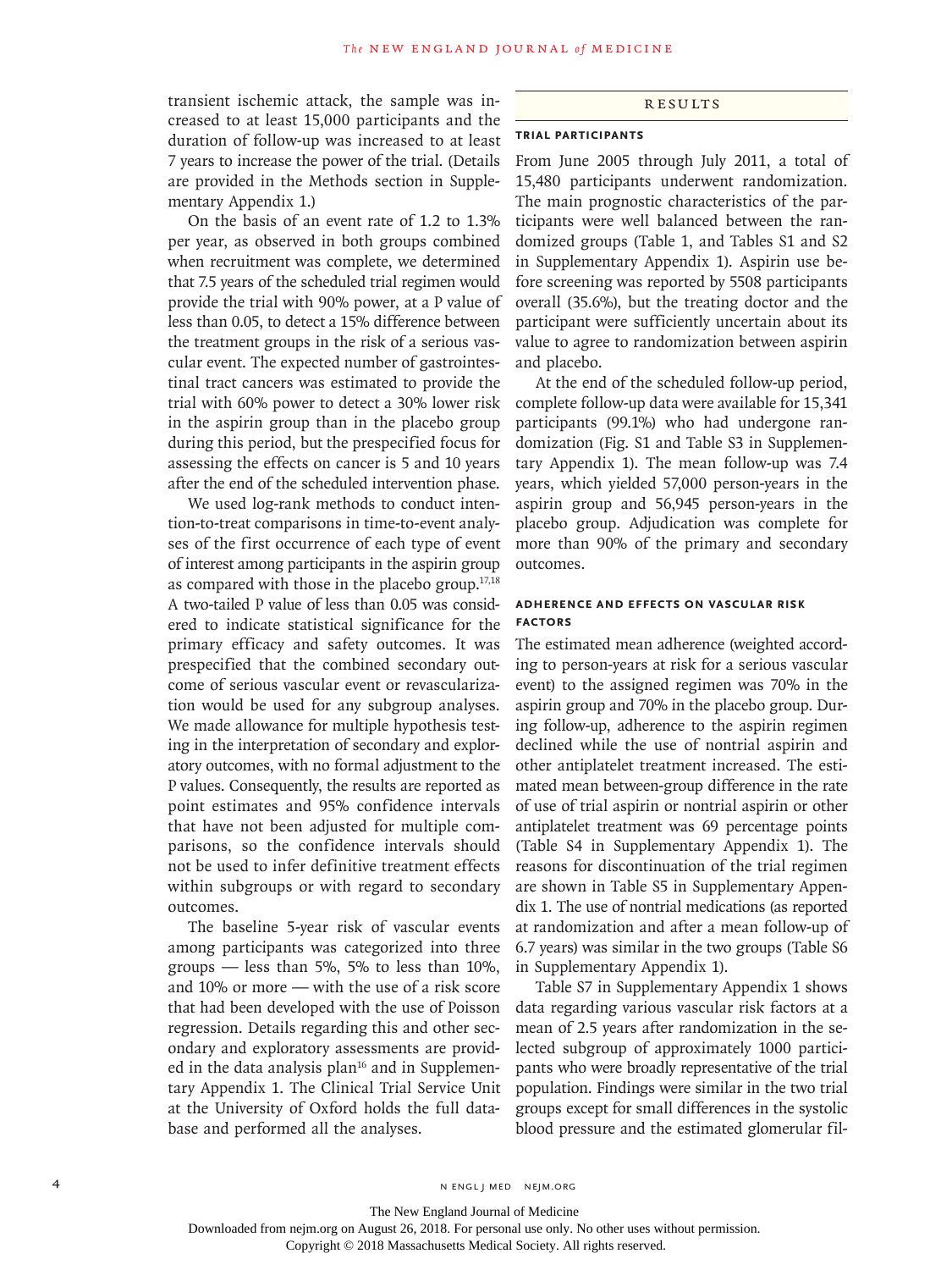transient ischemic attack, the sample was increased to at least 15,000 participants and the duration of follow-up was increased to at least 7 years to increase the power of the trial. (Details are provided in the Methods section in Supplementary Appendix 1.)

On the basis of an event rate of 1.2 to 1.3% per year, as observed in both groups combined when recruitment was complete, we determined that 7.5 years of the scheduled trial regimen would provide the trial with 90% power, at a P value of less than 0.05, to detect a 15% difference between the treatment groups in the risk of a serious vascular event. The expected number of gastrointestinal tract cancers was estimated to provide the trial with 60% power to detect a 30% lower risk in the aspirin group than in the placebo group during this period, but the prespecified focus for assessing the effects on cancer is 5 and 10 years after the end of the scheduled intervention phase.

We used log-rank methods to conduct intention-to-treat comparisons in time-to-event analyses of the first occurrence of each type of event of interest among participants in the aspirin group as compared with those in the placebo group. $17,18$ A two-tailed P value of less than 0.05 was considered to indicate statistical significance for the primary efficacy and safety outcomes. It was prespecified that the combined secondary outcome of serious vascular event or revascularization would be used for any subgroup analyses. We made allowance for multiple hypothesis testing in the interpretation of secondary and exploratory outcomes, with no formal adjustment to the P values. Consequently, the results are reported as point estimates and 95% confidence intervals that have not been adjusted for multiple comparisons, so the confidence intervals should not be used to infer definitive treatment effects within subgroups or with regard to secondary outcomes.

The baseline 5-year risk of vascular events among participants was categorized into three groups — less than 5%, 5% to less than 10%, and 10% or more — with the use of a risk score that had been developed with the use of Poisson regression. Details regarding this and other secondary and exploratory assessments are provided in the data analysis plan $16$  and in Supplementary Appendix 1. The Clinical Trial Service Unit at the University of Oxford holds the full database and performed all the analyses.

#### Results

# **Trial Participants**

From June 2005 through July 2011, a total of 15,480 participants underwent randomization. The main prognostic characteristics of the participants were well balanced between the randomized groups (Table 1, and Tables S1 and S2 in Supplementary Appendix 1). Aspirin use before screening was reported by 5508 participants overall (35.6%), but the treating doctor and the participant were sufficiently uncertain about its value to agree to randomization between aspirin and placebo.

At the end of the scheduled follow-up period, complete follow-up data were available for 15,341 participants (99.1%) who had undergone randomization (Fig. S1 and Table S3 in Supplementary Appendix 1). The mean follow-up was 7.4 years, which yielded 57,000 person-years in the aspirin group and 56,945 person-years in the placebo group. Adjudication was complete for more than 90% of the primary and secondary outcomes.

# **Adherence and Effects on Vascular Risk Factors**

The estimated mean adherence (weighted according to person-years at risk for a serious vascular event) to the assigned regimen was 70% in the aspirin group and 70% in the placebo group. During follow-up, adherence to the aspirin regimen declined while the use of nontrial aspirin and other antiplatelet treatment increased. The estimated mean between-group difference in the rate of use of trial aspirin or nontrial aspirin or other antiplatelet treatment was 69 percentage points (Table S4 in Supplementary Appendix 1). The reasons for discontinuation of the trial regimen are shown in Table S5 in Supplementary Appendix 1. The use of nontrial medications (as reported at randomization and after a mean follow-up of 6.7 years) was similar in the two groups (Table S6 in Supplementary Appendix 1).

Table S7 in Supplementary Appendix 1 shows data regarding various vascular risk factors at a mean of 2.5 years after randomization in the selected subgroup of approximately 1000 participants who were broadly representative of the trial population. Findings were similar in the two trial groups except for small differences in the systolic blood pressure and the estimated glomerular fil-

The New England Journal of Medicine

Downloaded from nejm.org on August 26, 2018. For personal use only. No other uses without permission.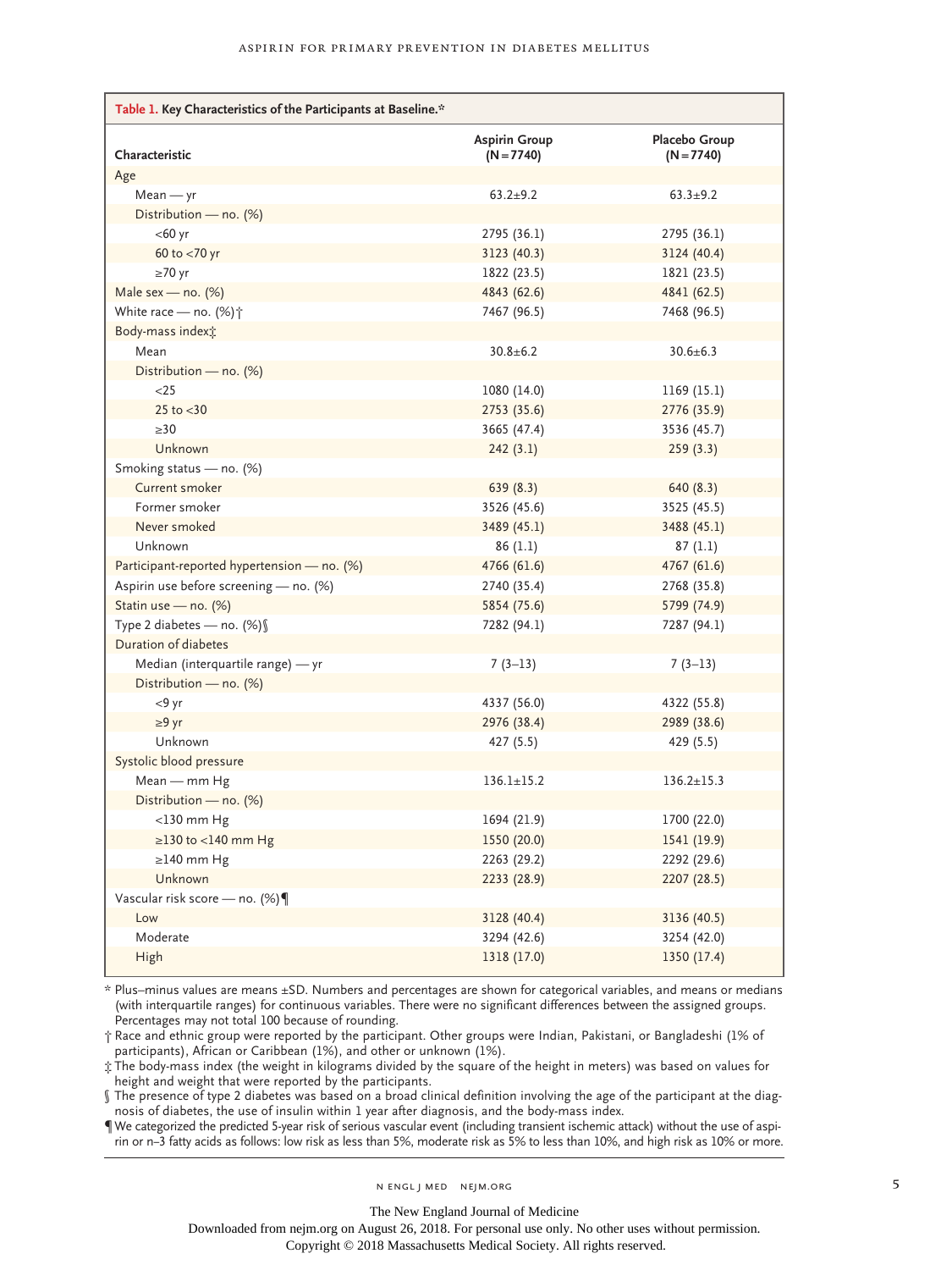| Table 1. Key Characteristics of the Participants at Baseline.* |                                      |                               |  |  |
|----------------------------------------------------------------|--------------------------------------|-------------------------------|--|--|
| Characteristic                                                 | <b>Aspirin Group</b><br>$(N = 7740)$ | Placebo Group<br>$(N = 7740)$ |  |  |
| Age                                                            |                                      |                               |  |  |
| $Mean - yr$                                                    | $63.2 + 9.2$                         | $63.3 + 9.2$                  |  |  |
| Distribution - no. (%)                                         |                                      |                               |  |  |
| $<$ 60 yr                                                      | 2795 (36.1)                          | 2795 (36.1)                   |  |  |
| 60 to <70 yr                                                   | 3123(40.3)                           | 3124(40.4)                    |  |  |
| $\geq 70$ yr                                                   | 1822 (23.5)                          | 1821 (23.5)                   |  |  |
| Male sex - no. (%)                                             | 4843 (62.6)                          | 4841 (62.5)                   |  |  |
| White race - no. (%) <sup>+</sup>                              | 7467 (96.5)                          | 7468 (96.5)                   |  |  |
| Body-mass indext:                                              |                                      |                               |  |  |
| Mean                                                           | $30.8 + 6.2$                         | $30.6 \pm 6.3$                |  |  |
| Distribution - no. (%)                                         |                                      |                               |  |  |
| $<$ 25                                                         | 1080 (14.0)                          | 1169 (15.1)                   |  |  |
| 25 to $<$ 30                                                   | 2753 (35.6)                          | 2776 (35.9)                   |  |  |
| >30                                                            | 3665 (47.4)                          | 3536 (45.7)                   |  |  |
| Unknown                                                        | 242(3.1)                             | 259(3.3)                      |  |  |
| Smoking status - no. (%)                                       |                                      |                               |  |  |
| Current smoker                                                 | 639(8.3)                             | 640 (8.3)                     |  |  |
| Former smoker                                                  | 3526 (45.6)                          | 3525 (45.5)                   |  |  |
| Never smoked                                                   | 3489 (45.1)                          | 3488 (45.1)                   |  |  |
| Unknown                                                        | 86(1.1)                              | 87(1.1)                       |  |  |
| Participant-reported hypertension - no. (%)                    | 4766 (61.6)                          | 4767 (61.6)                   |  |  |
| Aspirin use before screening - no. (%)                         | 2740 (35.4)                          | 2768 (35.8)                   |  |  |
| Statin use - no. (%)                                           | 5854 (75.6)                          | 5799 (74.9)                   |  |  |
| Type 2 diabetes - no. (%) §                                    | 7282 (94.1)                          | 7287 (94.1)                   |  |  |
| Duration of diabetes                                           |                                      |                               |  |  |
| Median (interquartile range) — yr                              | $7(3-13)$                            | $7(3-13)$                     |  |  |
| Distribution - no. (%)                                         |                                      |                               |  |  |
| $<9$ yr                                                        | 4337 (56.0)                          | 4322 (55.8)                   |  |  |
| $\geq 9$ yr                                                    | 2976 (38.4)                          | 2989 (38.6)                   |  |  |
| Unknown                                                        | 427 (5.5)                            | 429 (5.5)                     |  |  |
| Systolic blood pressure                                        |                                      |                               |  |  |
| Mean — mm Hg                                                   | $136.1 \pm 15.2$                     | $136.2 \pm 15.3$              |  |  |
| Distribution - no. (%)                                         |                                      |                               |  |  |
| $<$ 130 mm Hg                                                  | 1694 (21.9)                          | 1700 (22.0)                   |  |  |
| $\geq$ 130 to <140 mm Hg                                       | 1550 (20.0)                          | 1541 (19.9)                   |  |  |
| $\geq$ 140 mm Hg                                               | 2263 (29.2)                          | 2292 (29.6)                   |  |  |
| Unknown                                                        | 2233 (28.9)                          | 2207 (28.5)                   |  |  |
| Vascular risk score — no. $(\%) \P$                            |                                      |                               |  |  |
| Low                                                            | 3128 (40.4)                          | 3136 (40.5)                   |  |  |
| Moderate                                                       | 3294 (42.6)                          | 3254 (42.0)                   |  |  |
| High                                                           | 1318 (17.0)                          | 1350 (17.4)                   |  |  |

\* Plus–minus values are means ±SD. Numbers and percentages are shown for categorical variables, and means or medians (with interquartile ranges) for continuous variables. There were no significant differences between the assigned groups. Percentages may not total 100 because of rounding.

† Race and ethnic group were reported by the participant. Other groups were Indian, Pakistani, or Bangladeshi (1% of participants), African or Caribbean (1%), and other or unknown (1%).

‡ The body-mass index (the weight in kilograms divided by the square of the height in meters) was based on values for height and weight that were reported by the participants.

§ The presence of type 2 diabetes was based on a broad clinical definition involving the age of the participant at the diagnosis of diabetes, the use of insulin within 1 year after diagnosis, and the body-mass index.

¶ We categorized the predicted 5-year risk of serious vascular event (including transient ischemic attack) without the use of aspirin or n−3 fatty acids as follows: low risk as less than 5%, moderate risk as 5% to less than 10%, and high risk as 10% or more.

n engl j med nejm.org 5

The New England Journal of Medicine

Downloaded from nejm.org on August 26, 2018. For personal use only. No other uses without permission.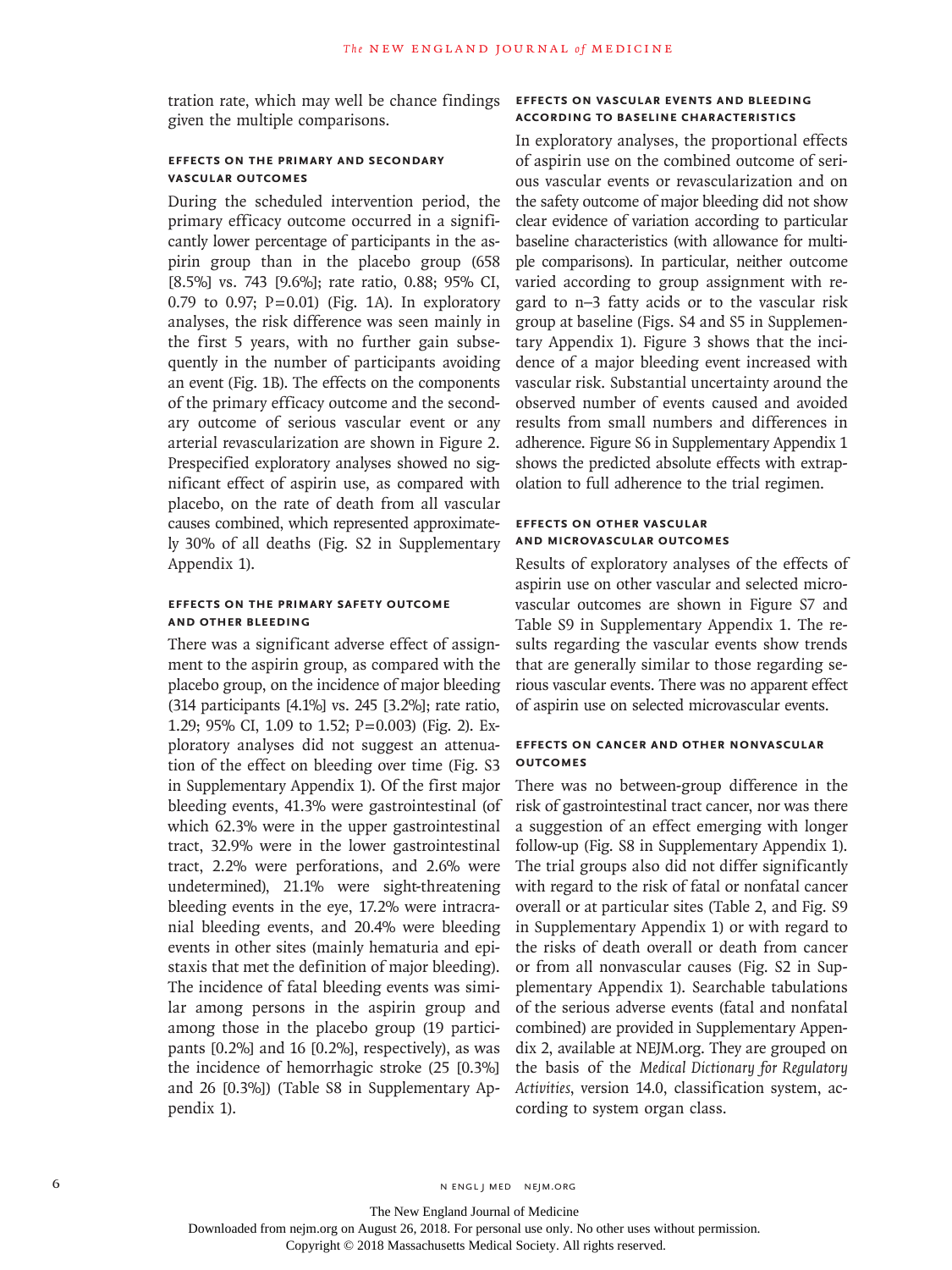tration rate, which may well be chance findings given the multiple comparisons.

# **Effects on the Primary and Secondary Vascular Outcomes**

During the scheduled intervention period, the primary efficacy outcome occurred in a significantly lower percentage of participants in the aspirin group than in the placebo group (658 [8.5%] vs. 743 [9.6%]; rate ratio, 0.88; 95% CI, 0.79 to 0.97; P=0.01) (Fig. 1A). In exploratory analyses, the risk difference was seen mainly in the first 5 years, with no further gain subsequently in the number of participants avoiding an event (Fig. 1B). The effects on the components of the primary efficacy outcome and the secondary outcome of serious vascular event or any arterial revascularization are shown in Figure 2. Prespecified exploratory analyses showed no significant effect of aspirin use, as compared with placebo, on the rate of death from all vascular causes combined, which represented approximately 30% of all deaths (Fig. S2 in Supplementary Appendix 1).

# **Effects on the Primary Safety Outcome and Other Bleeding**

There was a significant adverse effect of assignment to the aspirin group, as compared with the placebo group, on the incidence of major bleeding (314 participants [4.1%] vs. 245 [3.2%]; rate ratio, 1.29; 95% CI, 1.09 to 1.52; P=0.003) (Fig. 2). Exploratory analyses did not suggest an attenuation of the effect on bleeding over time (Fig. S3 in Supplementary Appendix 1). Of the first major bleeding events, 41.3% were gastrointestinal (of which 62.3% were in the upper gastrointestinal tract, 32.9% were in the lower gastrointestinal tract, 2.2% were perforations, and 2.6% were undetermined), 21.1% were sight-threatening bleeding events in the eye, 17.2% were intracranial bleeding events, and 20.4% were bleeding events in other sites (mainly hematuria and epistaxis that met the definition of major bleeding). The incidence of fatal bleeding events was similar among persons in the aspirin group and among those in the placebo group (19 participants [0.2%] and 16 [0.2%], respectively), as was the incidence of hemorrhagic stroke (25 [0.3%] and 26 [0.3%]) (Table S8 in Supplementary Appendix 1).

# **Effects on Vascular Events and Bleeding According to Baseline Characteristics**

In exploratory analyses, the proportional effects of aspirin use on the combined outcome of serious vascular events or revascularization and on the safety outcome of major bleeding did not show clear evidence of variation according to particular baseline characteristics (with allowance for multiple comparisons). In particular, neither outcome varied according to group assignment with regard to n−3 fatty acids or to the vascular risk group at baseline (Figs. S4 and S5 in Supplementary Appendix 1). Figure 3 shows that the incidence of a major bleeding event increased with vascular risk. Substantial uncertainty around the observed number of events caused and avoided results from small numbers and differences in adherence. Figure S6 in Supplementary Appendix 1 shows the predicted absolute effects with extrapolation to full adherence to the trial regimen.

# **Effects on Other Vascular and Microvascular Outcomes**

Results of exploratory analyses of the effects of aspirin use on other vascular and selected microvascular outcomes are shown in Figure S7 and Table S9 in Supplementary Appendix 1. The results regarding the vascular events show trends that are generally similar to those regarding serious vascular events. There was no apparent effect of aspirin use on selected microvascular events.

# **Effects on Cancer and Other Nonvascular Outcomes**

There was no between-group difference in the risk of gastrointestinal tract cancer, nor was there a suggestion of an effect emerging with longer follow-up (Fig. S8 in Supplementary Appendix 1). The trial groups also did not differ significantly with regard to the risk of fatal or nonfatal cancer overall or at particular sites (Table 2, and Fig. S9 in Supplementary Appendix 1) or with regard to the risks of death overall or death from cancer or from all nonvascular causes (Fig. S2 in Supplementary Appendix 1). Searchable tabulations of the serious adverse events (fatal and nonfatal combined) are provided in Supplementary Appendix 2, available at NEJM.org. They are grouped on the basis of the *Medical Dictionary for Regulatory Activities*, version 14.0, classification system, according to system organ class.

The New England Journal of Medicine

Downloaded from nejm.org on August 26, 2018. For personal use only. No other uses without permission.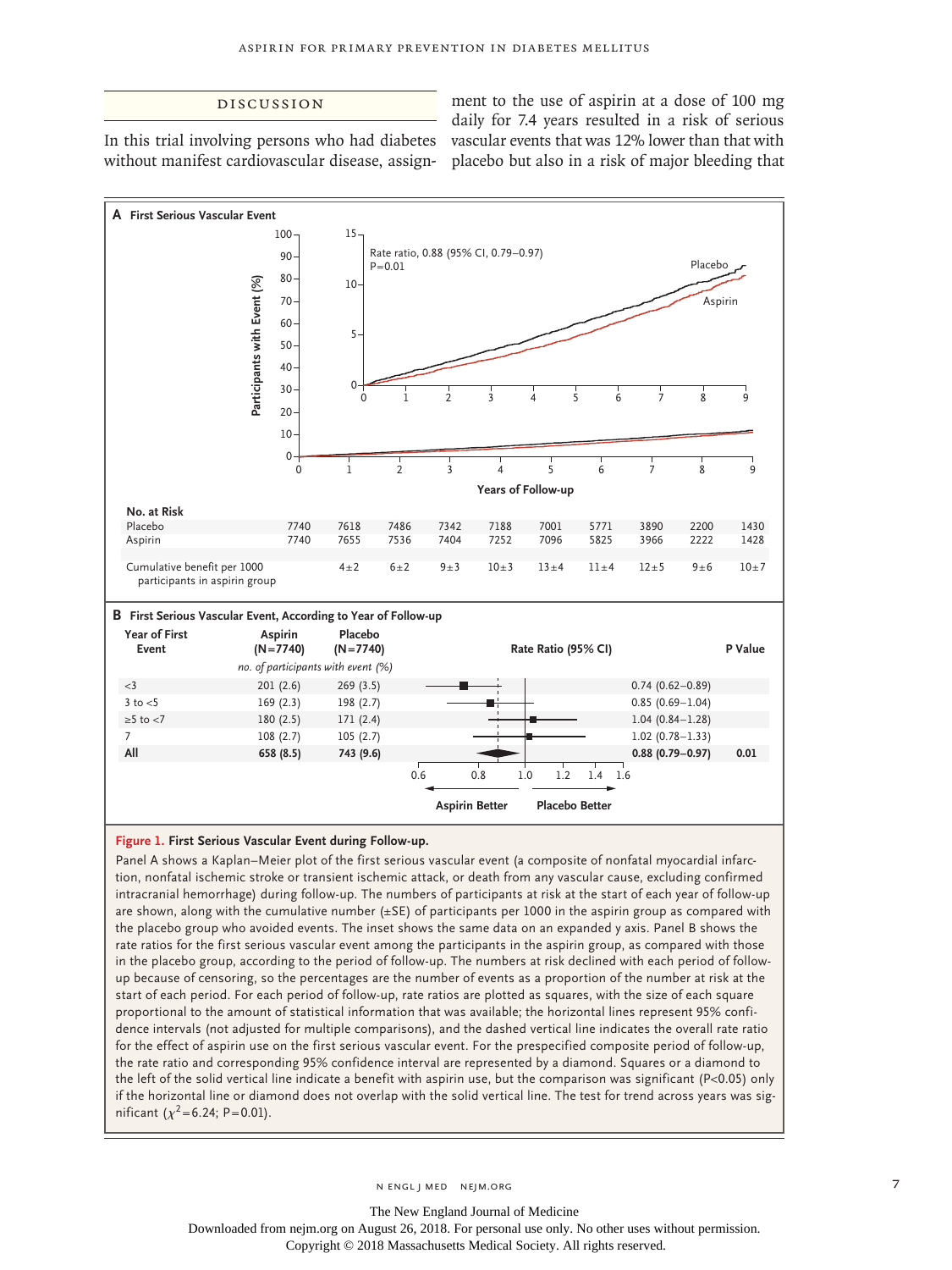# Discussion

In this trial involving persons who had diabetes

without manifest cardiovascular disease, assign-placebo but also in a risk of major bleeding that ment to the use of aspirin at a dose of 100 mg daily for 7.4 years resulted in a risk of serious vascular events that was 12% lower than that with



#### **Figure 1. First Serious Vascular Event during Follow-up.**

Panel A shows a Kaplan–Meier plot of the first serious vascular event (a composite of nonfatal myocardial infarction, nonfatal ischemic stroke or transient ischemic attack, or death from any vascular cause, excluding confirmed intracranial hemorrhage) during follow-up. The numbers of participants at risk at the start of each year of follow-up are shown, along with the cumulative number (±SE) of participants per 1000 in the aspirin group as compared with the placebo group who avoided events. The inset shows the same data on an expanded y axis. Panel B shows the rate ratios for the first serious vascular event among the participants in the aspirin group, as compared with those in the placebo group, according to the period of follow-up. The numbers at risk declined with each period of followup because of censoring, so the percentages are the number of events as a proportion of the number at risk at the start of each period. For each period of follow-up, rate ratios are plotted as squares, with the size of each square proportional to the amount of statistical information that was available; the horizontal lines represent 95% confidence intervals (not adjusted for multiple comparisons), and the dashed vertical line indicates the overall rate ratio for the effect of aspirin use on the first serious vascular event. For the prespecified composite period of follow-up, the rate ratio and corresponding 95% confidence interval are represented by a diamond. Squares or a diamond to the left of the solid vertical line indicate a benefit with aspirin use, but the comparison was significant (P<0.05) only if the horizontal line or diamond does not overlap with the solid vertical line. The test for trend across years was significant ( $\chi^2$ =6.24; P=0.01).

n engl j med nejm.org 7

The New England Journal of Medicine Downloaded from nejm.org on August 26, 2018. For personal use only. No other uses without permission.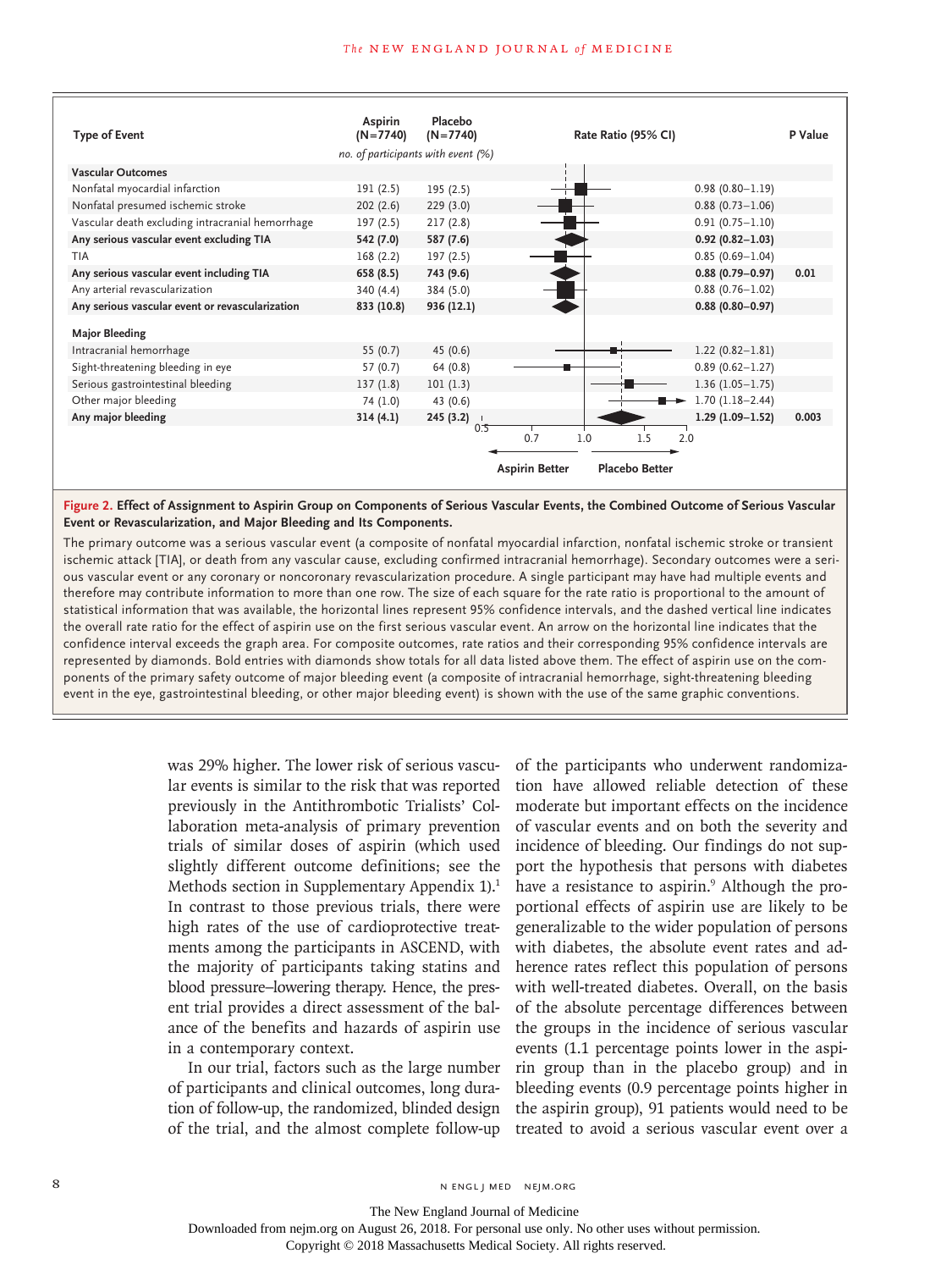

**Figure 2. Effect of Assignment to Aspirin Group on Components of Serious Vascular Events, the Combined Outcome of Serious Vascular Event or Revascularization, and Major Bleeding and Its Components.**

The primary outcome was a serious vascular event (a composite of nonfatal myocardial infarction, nonfatal ischemic stroke or transient ischemic attack [TIA], or death from any vascular cause, excluding confirmed intracranial hemorrhage). Secondary outcomes were a serious vascular event or any coronary or noncoronary revascularization procedure. A single participant may have had multiple events and therefore may contribute information to more than one row. The size of each square for the rate ratio is proportional to the amount of statistical information that was available, the horizontal lines represent 95% confidence intervals, and the dashed vertical line indicates the overall rate ratio for the effect of aspirin use on the first serious vascular event. An arrow on the horizontal line indicates that the confidence interval exceeds the graph area. For composite outcomes, rate ratios and their corresponding 95% confidence intervals are represented by diamonds. Bold entries with diamonds show totals for all data listed above them. The effect of aspirin use on the components of the primary safety outcome of major bleeding event (a composite of intracranial hemorrhage, sight-threatening bleeding event in the eye, gastrointestinal bleeding, or other major bleeding event) is shown with the use of the same graphic conventions.

> was 29% higher. The lower risk of serious vascular events is similar to the risk that was reported previously in the Antithrombotic Trialists' Collaboration meta-analysis of primary prevention trials of similar doses of aspirin (which used slightly different outcome definitions; see the Methods section in Supplementary Appendix 1).<sup>1</sup> In contrast to those previous trials, there were high rates of the use of cardioprotective treatments among the participants in ASCEND, with the majority of participants taking statins and blood pressure–lowering therapy. Hence, the present trial provides a direct assessment of the balance of the benefits and hazards of aspirin use in a contemporary context.

> In our trial, factors such as the large number of participants and clinical outcomes, long duration of follow-up, the randomized, blinded design of the trial, and the almost complete follow-up

of the participants who underwent randomization have allowed reliable detection of these moderate but important effects on the incidence of vascular events and on both the severity and incidence of bleeding. Our findings do not support the hypothesis that persons with diabetes have a resistance to aspirin.<sup>9</sup> Although the proportional effects of aspirin use are likely to be generalizable to the wider population of persons with diabetes, the absolute event rates and adherence rates reflect this population of persons with well-treated diabetes. Overall, on the basis of the absolute percentage differences between the groups in the incidence of serious vascular events (1.1 percentage points lower in the aspirin group than in the placebo group) and in bleeding events (0.9 percentage points higher in the aspirin group), 91 patients would need to be treated to avoid a serious vascular event over a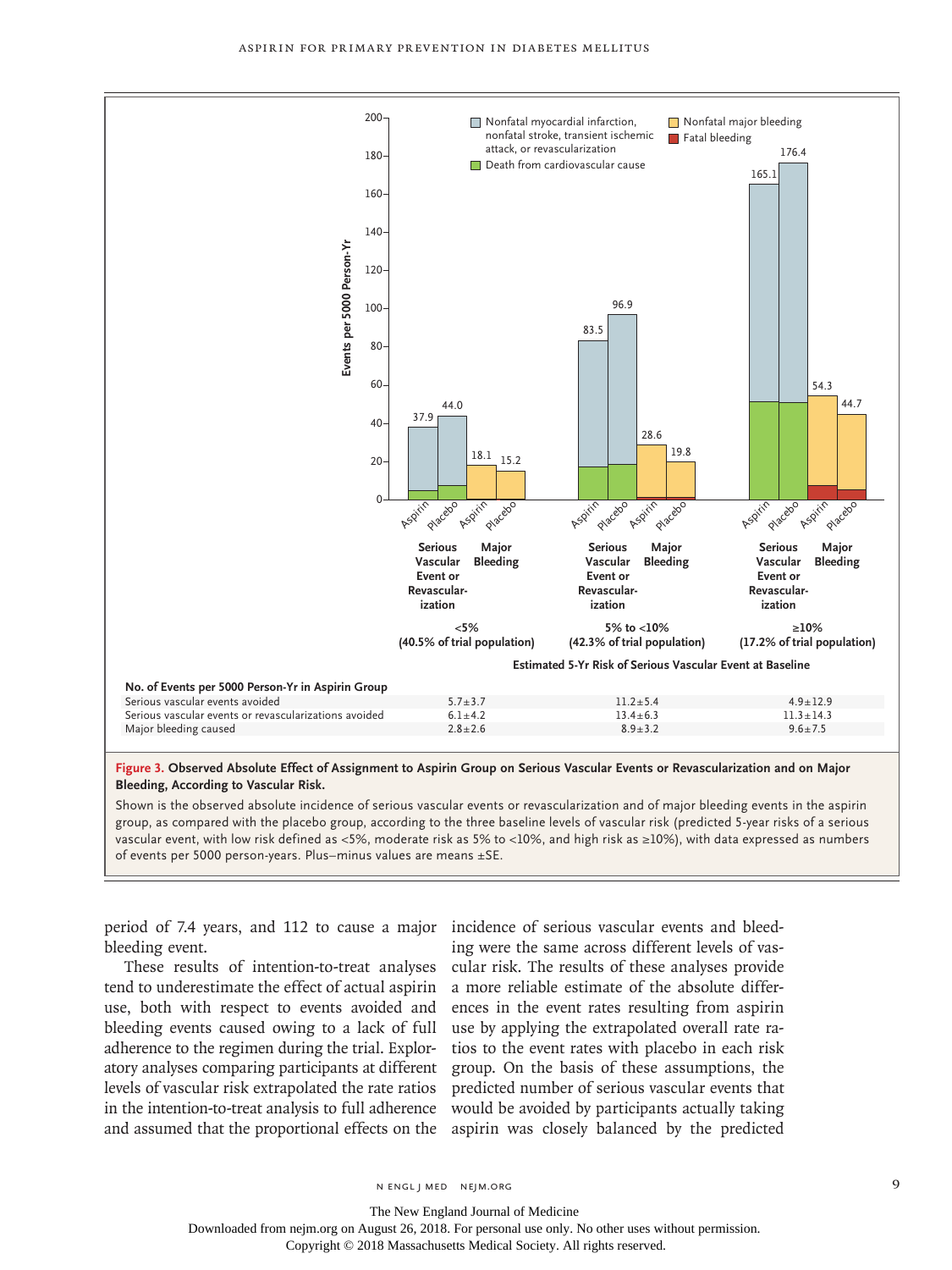

#### **Bleeding, According to Vascular Risk.**

Shown is the observed absolute incidence of serious vascular events or revascularization and of major bleeding events in the aspirin group, as compared with the placebo group, according to the three baseline levels of vascular risk (predicted 5-year risks of a serious vascular event, with low risk defined as <5%, moderate risk as 5% to <10%, and high risk as ≥10%), with data expressed as numbers

period of 7.4 years, and 112 to cause a major incidence of serious vascular events and bleedbleeding event.

These results of intention-to-treat analyses tend to underestimate the effect of actual aspirin use, both with respect to events avoided and bleeding events caused owing to a lack of full adherence to the regimen during the trial. Exploratory analyses comparing participants at different levels of vascular risk extrapolated the rate ratios in the intention-to-treat analysis to full adherence and assumed that the proportional effects on the

ing were the same across different levels of vascular risk. The results of these analyses provide a more reliable estimate of the absolute differences in the event rates resulting from aspirin use by applying the extrapolated overall rate ratios to the event rates with placebo in each risk group. On the basis of these assumptions, the predicted number of serious vascular events that would be avoided by participants actually taking aspirin was closely balanced by the predicted

The New England Journal of Medicine

Downloaded from nejm.org on August 26, 2018. For personal use only. No other uses without permission.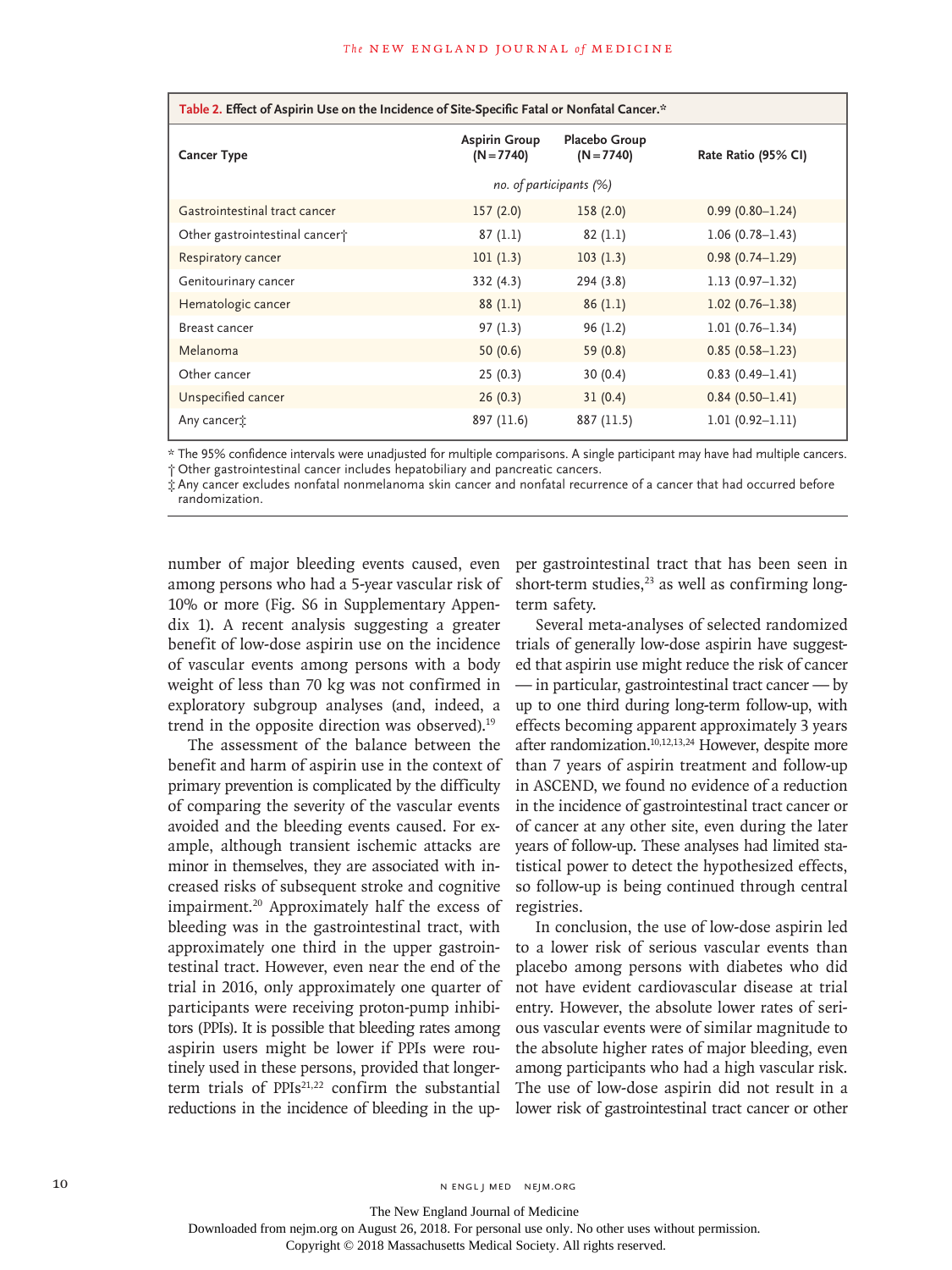| Table 2. Effect of Aspirin Use on the Incidence of Site-Specific Fatal or Nonfatal Cancer.* |                                      |                               |                     |  |
|---------------------------------------------------------------------------------------------|--------------------------------------|-------------------------------|---------------------|--|
| <b>Cancer Type</b>                                                                          | <b>Aspirin Group</b><br>$(N = 7740)$ | Placebo Group<br>$(N = 7740)$ | Rate Ratio (95% CI) |  |
|                                                                                             | no. of participants (%)              |                               |                     |  |
| Gastrointestinal tract cancer                                                               | 157(2.0)                             | 158(2.0)                      | $0.99(0.80 - 1.24)$ |  |
| Other gastrointestinal cancert                                                              | 87(1.1)                              | 82(1.1)                       | $1.06(0.78 - 1.43)$ |  |
| Respiratory cancer                                                                          | 101(1.3)                             | 103(1.3)                      | $0.98(0.74 - 1.29)$ |  |
| Genitourinary cancer                                                                        | 332(4.3)                             | 294 (3.8)                     | $1.13(0.97 - 1.32)$ |  |
| Hematologic cancer                                                                          | 88(1.1)                              | 86(1.1)                       | $1.02(0.76 - 1.38)$ |  |
| Breast cancer                                                                               | 97(1.3)                              | 96(1.2)                       | $1.01(0.76 - 1.34)$ |  |
| Melanoma                                                                                    | 50(0.6)                              | 59 (0.8)                      | $0.85(0.58 - 1.23)$ |  |
| Other cancer                                                                                | 25(0.3)                              | 30(0.4)                       | $0.83(0.49 - 1.41)$ |  |
| Unspecified cancer                                                                          | 26(0.3)                              | 31(0.4)                       | $0.84(0.50 - 1.41)$ |  |
| Any cancer <sup>+</sup>                                                                     | 897 (11.6)                           | 887 (11.5)                    | $1.01(0.92 - 1.11)$ |  |

\* The 95% confidence intervals were unadjusted for multiple comparisons. A single participant may have had multiple cancers. † Other gastrointestinal cancer includes hepatobiliary and pancreatic cancers.

‡ Any cancer excludes nonfatal nonmelanoma skin cancer and nonfatal recurrence of a cancer that had occurred before randomization.

number of major bleeding events caused, even among persons who had a 5-year vascular risk of 10% or more (Fig. S6 in Supplementary Appendix 1). A recent analysis suggesting a greater benefit of low-dose aspirin use on the incidence of vascular events among persons with a body weight of less than 70 kg was not confirmed in exploratory subgroup analyses (and, indeed, a trend in the opposite direction was observed).<sup>19</sup>

The assessment of the balance between the benefit and harm of aspirin use in the context of primary prevention is complicated by the difficulty of comparing the severity of the vascular events avoided and the bleeding events caused. For example, although transient ischemic attacks are minor in themselves, they are associated with increased risks of subsequent stroke and cognitive impairment.20 Approximately half the excess of bleeding was in the gastrointestinal tract, with approximately one third in the upper gastrointestinal tract. However, even near the end of the trial in 2016, only approximately one quarter of participants were receiving proton-pump inhibitors (PPIs). It is possible that bleeding rates among aspirin users might be lower if PPIs were routinely used in these persons, provided that longerterm trials of PPIs<sup>21,22</sup> confirm the substantial reductions in the incidence of bleeding in the upper gastrointestinal tract that has been seen in short-term studies, $23$  as well as confirming longterm safety.

Several meta-analyses of selected randomized trials of generally low-dose aspirin have suggested that aspirin use might reduce the risk of cancer — in particular, gastrointestinal tract cancer — by up to one third during long-term follow-up, with effects becoming apparent approximately 3 years after randomization.10,12,13,24 However, despite more than 7 years of aspirin treatment and follow-up in ASCEND, we found no evidence of a reduction in the incidence of gastrointestinal tract cancer or of cancer at any other site, even during the later years of follow-up. These analyses had limited statistical power to detect the hypothesized effects, so follow-up is being continued through central registries.

In conclusion, the use of low-dose aspirin led to a lower risk of serious vascular events than placebo among persons with diabetes who did not have evident cardiovascular disease at trial entry. However, the absolute lower rates of serious vascular events were of similar magnitude to the absolute higher rates of major bleeding, even among participants who had a high vascular risk. The use of low-dose aspirin did not result in a lower risk of gastrointestinal tract cancer or other

10 N ENGL J MED NEJM.ORG

The New England Journal of Medicine

Downloaded from nejm.org on August 26, 2018. For personal use only. No other uses without permission.